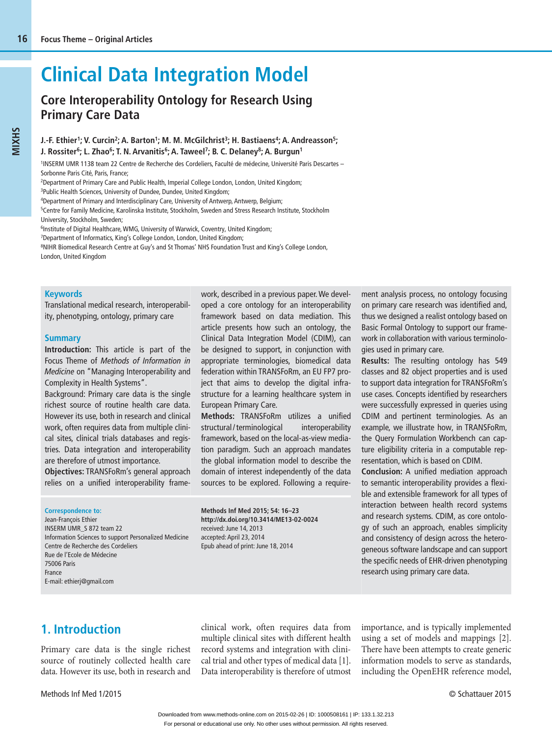# **Clinical Data Integration Model**

# **Core Interoperability Ontology for Research Using Primary Care Data**

#### J.-F. Ethier<sup>1</sup>; V. Curcin<sup>2</sup>; A. Barton<sup>1</sup>; M. M. McGilchrist<sup>3</sup>; H. Bastiaens<sup>4</sup>; A. Andreasson<sup>5</sup>; **J. Rossiter<sup>6</sup>; L. Zhao<sup>6</sup>; T. N. Arvanitis<sup>6</sup>; A. Taweel<sup>7</sup>; B. C. Delaney<sup>8</sup>; A. Burgun<sup>1</sup>**

1 INSERM UMR 1138 team 22 Centre de Recherche des Cordeliers, Faculté de médecine, Université Paris Descartes – Sorbonne Paris Cité, Paris, France;

2 Department of Primary Care and Public Health, Imperial College London, London, United Kingdom;

<sup>3</sup>Public Health Sciences, University of Dundee, Dundee, United Kingdom;

4 Department of Primary and Interdisciplinary Care, University of Antwerp, Antwerp, Belgium;

5 Centre for Family Medicine, Karolinska Institute, Stockholm, Sweden and Stress Research Institute, Stockholm University, Stockholm, Sweden;

<sup>6</sup>Institute of Digital Healthcare, WMG, University of Warwick, Coventry, United Kingdom;

7 Department of Informatics, King's College London, London, United Kingdom;

8 NIHR Biomedical Research Centre at Guy's and St Thomas' NHS Foundation Trust and King's College London,

London, United Kingdom

#### **Keywords**

Translational medical research, interoperability, phenotyping, ontology, primary care

### **Summary**

**Introduction:** This article is part of the Focus Theme of *Methods of Information in Medicine* on "Managing Interoperability and Complexity in Health Systems".

Background: Primary care data is the single richest source of routine health care data. However its use, both in research and clinical work, often requires data from multiple clinical sites, clinical trials databases and registries. Data integration and interoperability are therefore of utmost importance.

**Objectives:** TRANSFoRm's general approach relies on a unified interoperability framework, described in a previous paper. We developed a core ontology for an interoperability framework based on data mediation. This article presents how such an ontology, the Clinical Data Integration Model (CDIM), can be designed to support, in conjunction with appropriate terminologies, biomedical data federation within TRANSFoRm, an EU FP7 project that aims to develop the digital infrastructure for a learning healthcare system in European Primary Care.

**Methods:** TRANSFoRm utilizes a unified structural/terminological interoperability frame work, based on the local-as-view media tion paradigm. Such an approach mandates the global information model to describe the domain of interest independently of the data sources to be explored. Following a require-

**Correspondence to:**

 Jean-François Ethier INSERM UMR\_S 872 team 22 Information Sciences to support Personalized Medicine Centre de Recherche des Cordeliers Rue de l'Ecole de Médecine 75006 Paris France E-mail: ethierj@gmail.com

**Methods Inf Med 2015; 54: 16–23 http://dx.doi.org/10.3414/ME13-02-0024** received: June 14, 2013 accepted: April 23, 2014 Epub ahead of print: June 18, 2014

ment analysis process, no ontology focusing on primary care research was identified and, thus we designed a realist ontology based on Basic Formal Ontology to support our framework in collaboration with various terminologies used in primary care.

**Results:** The resulting ontology has 549 classes and 82 object properties and is used to support data integration for TRANSFoRm's use cases. Concepts identified by researchers were successfully expressed in queries using CDIM and pertinent terminologies. As an example, we illustrate how, in TRANSFoRm, the Query Formulation Workbench can capture eligibility criteria in a computable representation, which is based on CDIM.

**Conclusion:** A unified mediation approach to semantic interoperability provides a flexible and extensible framework for all types of interaction between health record systems and research systems. CDIM, as core ontology of such an approach, enables simplicity and consistency of design across the heterogeneous software landscape and can support the specific needs of EHR-driven phenotyping research using primary care data.

# **1. Introduction**

Primary care data is the single richest source of routinely collected health care data. However its use, both in research and

clinical work, often requires data from multiple clinical sites with different health record systems and integration with clinical trial and other types of medical data [1]. Data interoperability is therefore of utmost importance, and is typically implemented using a set of models and mappings [2]. There have been attempts to create generic information models to serve as standards, including the OpenEHR reference model,

Methods Inf Med 1/2015 © Schattauer 2015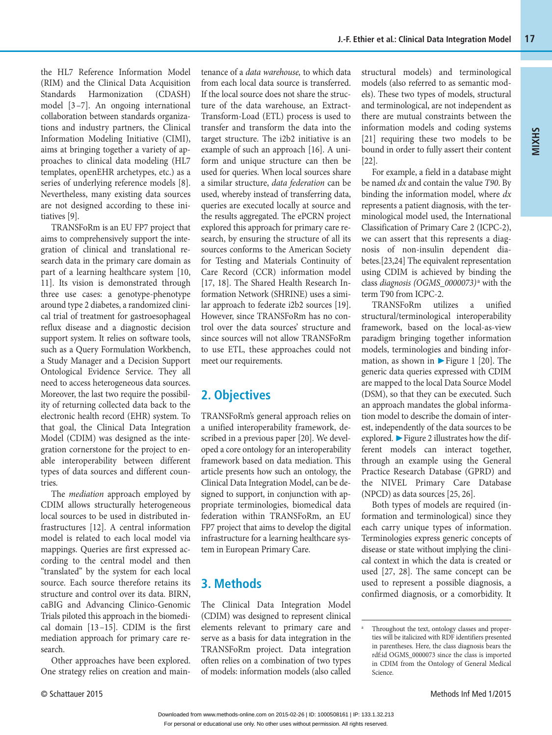the HL7 Reference Information Model (RIM) and the Clinical Data Acquisition Standards Harmonization (CDASH) model [3 –7]. An ongoing international collaboration between standards organizations and industry partners, the Clinical Information Modeling Initiative (CIMI), aims at bringing together a variety of approaches to clinical data modeling (HL7 templates, openEHR archetypes, etc.) as a series of underlying reference models [8]. Nevertheless, many existing data sources are not designed according to these initiatives [9].

TRANSFoRm is an EU FP7 project that aims to comprehensively support the integration of clinical and translational research data in the primary care domain as part of a learning healthcare system [10, 11]. Its vision is demonstrated through three use cases: a genotype-phenotype around type 2 diabetes, a randomized clinical trial of treatment for gastroesophageal reflux disease and a diagnostic decision support system. It relies on software tools, such as a Query Formulation Workbench, a Study Manager and a Decision Support Ontological Evidence Service. They all need to access heterogeneous data sources. Moreover, the last two require the possibility of returning collected data back to the electronic health record (EHR) system. To that goal, the Clinical Data Integration Model (CDIM) was designed as the integration cornerstone for the project to enable interoperability between different types of data sources and different countries.

The *mediation* approach employed by CDIM allows structurally heterogeneous local sources to be used in distributed infrastructures [12]. A central information model is related to each local model via mappings. Queries are first expressed according to the central model and then "translated" by the system for each local source. Each source therefore retains its structure and control over its data. BIRN, caBIG and Advancing Clinico-Genomic Trials piloted this approach in the biomedical domain [13 –15]. CDIM is the first mediation approach for primary care research.

Other approaches have been explored. One strategy relies on creation and maintenance of a *data warehouse,* to which data from each local data source is transferred. If the local source does not share the structure of the data warehouse, an Extract-Transform-Load (ETL) process is used to transfer and transform the data into the target structure. The i2b2 initiative is an example of such an approach [16]. A uniform and unique structure can then be used for queries. When local sources share a similar structure, *data federation* can be used, whereby instead of transferring data, queries are executed locally at source and the results aggregated. The ePCRN project explored this approach for primary care research, by ensuring the structure of all its sources conforms to the American Society for Testing and Materials Continuity of Care Record (CCR) information model [17, 18]. The Shared Health Research Information Network (SHRINE) uses a similar approach to federate i2b2 sources [19]. However, since TRANSFoRm has no control over the data sources' structure and since sources will not allow TRANSFoRm to use ETL, these approaches could not meet our requirements.

# **2. Objectives**

TRANSFoRm's general approach relies on a unified interoperability framework, described in a previous paper [20]. We developed a core ontology for an interoperability framework based on data mediation. This article presents how such an ontology, the Clinical Data Integration Model, can be designed to support, in conjunction with appropriate terminologies, biomedical data federation within TRANSFoRm, an EU FP7 project that aims to develop the digital infrastructure for a learning healthcare system in European Primary Care.

## **3. Methods**

The Clinical Data Integration Model (CDIM) was designed to represent clinical elements relevant to primary care and serve as a basis for data integration in the TRANSFoRm project. Data integration often relies on a combination of two types of models: information models (also called structural models) and terminological models (also referred to as semantic models). These two types of models, structural and terminological, are not independent as there are mutual constraints between the information models and coding systems [21] requiring these two models to be bound in order to fully assert their content [22].

**MIXHS**

For example, a field in a database might be named *dx* and contain the value *T90*. By binding the information model, where *dx* represents a patient diagnosis, with the terminological model used, the International Classification of Primary Care 2 (ICPC-2), we can assert that this represents a diagnosis of non-insulin dependent diabetes.[23,24] The equivalent representation using CDIM is achieved by binding the class *diagnosis (OGMS\_0000073)* <sup>a</sup> with the term T90 from ICPC-2.

TRANSFoRm utilizes a unified structural/terminological interoperability framework, based on the local-as-view paradigm bringing together information models, terminologies and binding information, as shown in  $\blacktriangleright$  Figure 1 [20]. The generic data queries expressed with CDIM are mapped to the local Data Source Model (DSM), so that they can be executed. Such an approach mandates the global information model to describe the domain of interest, independently of the data sources to be explored. ▶ Figure 2 illustrates how the different models can interact together, through an example using the General Practice Research Database (GPRD) and the NIVEL Primary Care Database (NPCD) as data sources [25, 26].

Both types of models are required (information and terminological) since they each carry unique types of information. Terminologies express generic concepts of disease or state without implying the clinical context in which the data is created or used [27, 28]. The same concept can be used to represent a possible diagnosis, a confirmed diagnosis, or a comorbidity. It

a

Throughout the text, ontology classes and properties will be italicized with RDF identifiers presented in parentheses. Here, the class diagnosis bears the rdf:id OGMS\_0000073 since the class is imported in CDIM from the Ontology of General Medical Science.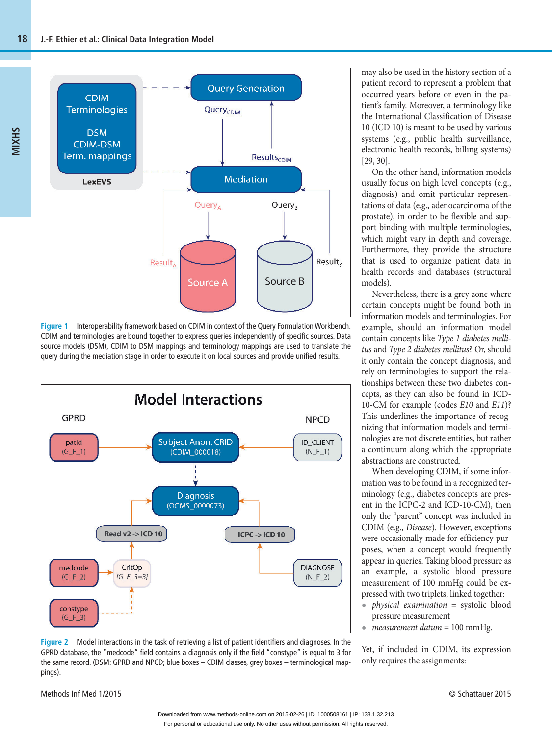

**Figure 1** Interoperability framework based on CDIM in context of the Query Formulation Workbench. CDIM and terminologies are bound together to express queries independently of specific sources. Data source models (DSM), CDIM to DSM mappings and terminology mappings are used to translate the query during the mediation stage in order to execute it on local sources and provide unified results.



**Figure 2** Model interactions in the task of retrieving a list of patient identifiers and diagnoses. In the GPRD database, the "medcode" field contains a diagnosis only if the field "constype" is equal to 3 for the same record. (DSM: GPRD and NPCD; blue boxes – CDIM classes, grey boxes – terminological mappings).

may also be used in the history section of a patient record to represent a problem that occurred years before or even in the patient's family. Moreover, a terminology like the International Classification of Disease 10 (ICD 10) is meant to be used by various systems (e.g., public health surveillance, electronic health records, billing systems) [29, 30].

On the other hand, information models usually focus on high level concepts (e.g., diagnosis) and omit particular representations of data (e.g., adenocarcinoma of the prostate), in order to be flexible and support binding with multiple terminologies, which might vary in depth and coverage. Furthermore, they provide the structure that is used to organize patient data in health records and databases (structural models).

Nevertheless, there is a grey zone where certain concepts might be found both in information models and terminologies. For example, should an information model contain concepts like *Type 1 diabetes mellitus* and *Type 2 diabetes mellitus*? Or, should it only contain the concept diagnosis, and rely on terminologies to support the relationships between these two diabetes concepts, as they can also be found in ICD-10-CM for example (codes *E10* and *E11*)? This underlines the importance of recognizing that information models and terminologies are not discrete entities, but rather a continuum along which the appropriate abstractions are constructed.

When developing CDIM, if some information was to be found in a recognized terminology (e.g., diabetes concepts are present in the ICPC-2 and ICD-10-CM), then only the "parent" concept was included in CDIM (e.g., *Disease*). However, exceptions were occasionally made for efficiency purposes, when a concept would frequently appear in queries. Taking blood pressure as an example, a systolic blood pressure measurement of 100 mmHg could be expressed with two triplets, linked together:

- **•** *physical examination* = systolic blood pressure measurement
- **•** *measurement datum* = 100 mmHg.

Yet, if included in CDIM, its expression only requires the assignments: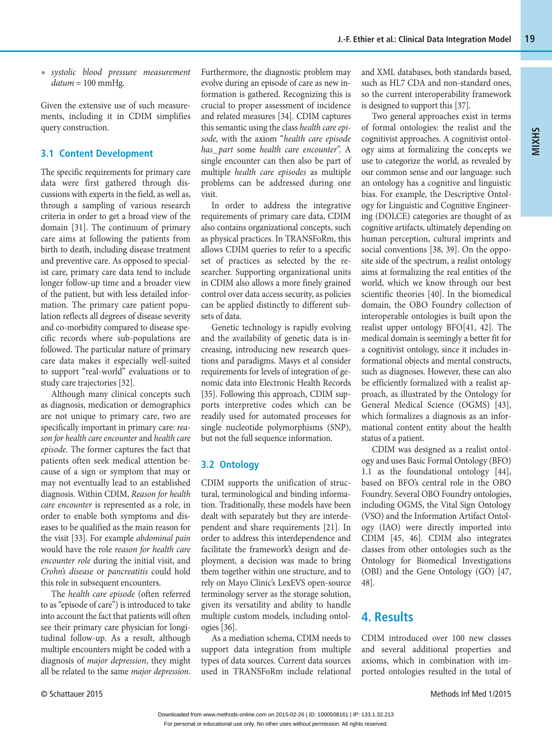**•** *systolic blood pressure measurement datum* = 100 mmHg.

Given the extensive use of such measurements, including it in CDIM simplifies query construction.

## **3.1 Content Development**

The specific requirements for primary care data were first gathered through discussions with experts in the field, as well as, through a sampling of various research criteria in order to get a broad view of the domain [31]. The continuum of primary care aims at following the patients from birth to death, including disease treatment and preventive care. As opposed to specialist care, primary care data tend to include longer follow-up time and a broader view of the patient, but with less detailed information. The primary care patient population reflects all degrees of disease severity and co-morbidity compared to disease specific records where sub-populations are followed. The particular nature of primary care data makes it especially well-suited to support "real-world" evaluations or to study care trajectories [32].

Although many clinical concepts such as diagnosis, medication or demographics are not unique to primary care, two are specifically important in primary care: *reason for health care encounter* and *health care episode*. The former captures the fact that patients often seek medical attention because of a sign or symptom that may or may not eventually lead to an established diagnosis. Within CDIM, *Reason for health care encounter* is represented as a role, in order to enable both symptoms and diseases to be qualified as the main reason for the visit [33]. For example *abdominal pain* would have the role *reason for health care encounter role* during the initial visit, and *Crohn's disease* or *pancreatitis* could hold this role in subsequent encounters.

The *health care episode* (often referred to as "episode of care") is introduced to take into account the fact that patients will often see their primary care physician for longitudinal follow-up. As a result, although multiple encounters might be coded with a diagnosis of *major depression*, they might all be related to the same *major depression*. Furthermore, the diagnostic problem may evolve during an episode of care as new information is gathered. Recognizing this is crucial to proper assessment of incidence and related measures [34]. CDIM captures this semantic using the class *health care episode,* with the axiom "*health care episode has\_ part* some *health care encounter*". A single encounter can then also be part of multiple *health care episodes* as multiple problems can be addressed during one visit.

In order to address the integrative requirements of primary care data, CDIM also contains organizational concepts, such as physical practices. In TRANSFoRm, this allows CDIM queries to refer to a specific set of practices as selected by the researcher. Supporting organizational units in CDIM also allows a more finely grained control over data access security, as policies can be applied distinctly to different subsets of data.

Genetic technology is rapidly evolving and the availability of genetic data is increasing, introducing new research questions and paradigms. Masys et al consider requirements for levels of integration of genomic data into Electronic Health Records [35]. Following this approach, CDIM supports interpretive codes which can be readily used for automated processes for single nucleotide polymorphisms (SNP), but not the full sequence information.

## **3.2 Ontology**

CDIM supports the unification of structural, terminological and binding information. Traditionally, these models have been dealt with separately but they are interdependent and share requirements [21]. In order to address this interdependence and facilitate the framework's design and deployment, a decision was made to bring them together within one structure, and to rely on Mayo Clinic's LexEVS open-source terminology server as the storage solution, given its versatility and ability to handle multiple custom models, including ontologies [36].

As a mediation schema, CDIM needs to support data integration from multiple types of data sources. Current data sources used in TRANSFoRm include relational and XML databases, both standards based, such as HL7 CDA and non-standard ones, so the current interoperability framework is designed to support this [37].

**MIXHS**

Two general approaches exist in terms of formal ontologies: the realist and the cognitivist approaches. A cognitivist ontology aims at formalizing the concepts we use to categorize the world, as revealed by our common sense and our language: such an ontology has a cognitive and linguistic bias. For example, the Descriptive Ontology for Linguistic and Cognitive Engineering (DOLCE) categories are thought of as cognitive artifacts, ultimately depending on human perception, cultural imprints and social conventions [38, 39]. On the opposite side of the spectrum, a realist ontology aims at formalizing the real entities of the world, which we know through our best scientific theories [40]. In the biomedical domain, the OBO Foundry collection of interoperable ontologies is built upon the realist upper ontology BFO[41, 42]. The medical domain is seemingly a better fit for a cognitivist ontology, since it includes informational objects and mental constructs, such as diagnoses. However, these can also be efficiently formalized with a realist approach, as illustrated by the Ontology for General Medical Science (OGMS) [43], which formalizes a diagnosis as an informational content entity about the health status of a patient.

CDIM was designed as a realist ontology and uses Basic Formal Ontology (BFO) 1.1 as the foundational ontology [44], based on BFO's central role in the OBO Foundry. Several OBO Foundry ontologies, including OGMS, the Vital Sign Ontology (VSO) and the Information Artifact Ontology (IAO) were directly imported into CDIM [45, 46]. CDIM also integrates classes from other ontologies such as the Ontology for Biomedical Investigations (OBI) and the Gene Ontology (GO) [47, 48].

# **4. Results**

CDIM introduced over 100 new classes and several additional properties and axioms, which in combination with imported ontologies resulted in the total of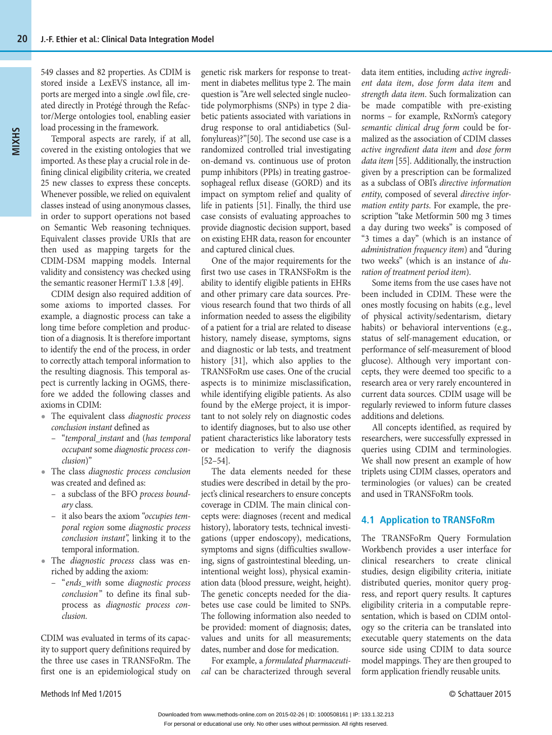549 classes and 82 properties. As CDIM is stored inside a LexEVS instance, all imports are merged into a single .owl file, created directly in Protégé through the Refactor/Merge ontologies tool, enabling easier load processing in the framework.

Temporal aspects are rarely, if at all, covered in the existing ontologies that we imported. As these play a crucial role in defining clinical eligibility criteria, we created 25 new classes to express these concepts. Whenever possible, we relied on equivalent classes instead of using anonymous classes, in order to support operations not based on Semantic Web reasoning techniques. Equivalent classes provide URIs that are then used as mapping targets for the CDIM-DSM mapping models. Internal validity and consistency was checked using the semantic reasoner HermiT 1.3.8 [49].

CDIM design also required addition of some axioms to imported classes. For example, a diagnostic process can take a long time before completion and production of a diagnosis. It is therefore important to identify the end of the process, in order to correctly attach temporal information to the resulting diagnosis. This temporal aspect is currently lacking in OGMS, therefore we added the following classes and axioms in CDIM:

- **•** The equivalent class *diagnostic process conclusion instant* defined as
	- "*temporal\_instant* and (*has temporal occupant* some *diagnostic process conclusion*)"
- **•** The class *diagnostic process conclusion* was created and defined as:
	- a subclass of the BFO *process boundary* class.
	- it also bears the axiom "*occupies temporal region* some *diagnostic process conclusion instant"*, linking it to the temporal information.
- **•** The *diagnostic process* class was enriched by adding the axiom:
	- " *ends\_with* some *diagnostic process conclusion* " to define its final subprocess as *diagnostic process conclusion.*

CDIM was evaluated in terms of its capacity to support query definitions required by the three use cases in TRANSFoRm. The first one is an epidemiological study on genetic risk markers for response to treatment in diabetes mellitus type 2. The main question is "Are well selected single nucleotide polymorphisms (SNPs) in type 2 diabetic patients associated with variations in drug response to oral antidiabetics (Sulfonylureas)?"[50]. The second use case is a randomized controlled trial investigating on-demand vs. continuous use of proton pump inhibitors (PPIs) in treating gastroesophageal reflux disease (GORD) and its impact on symptom relief and quality of life in patients [51]. Finally, the third use case consists of evaluating approaches to provide diagnostic decision support, based on existing EHR data, reason for encounter and captured clinical clues.

One of the major requirements for the first two use cases in TRANSFoRm is the ability to identify eligible patients in EHRs and other primary care data sources. Previous research found that two thirds of all information needed to assess the eligibility of a patient for a trial are related to disease history, namely disease, symptoms, signs and diagnostic or lab tests, and treatment history [31], which also applies to the TRANSFoRm use cases. One of the crucial aspects is to minimize misclassification, while identifying eligible patients. As also found by the eMerge project, it is important to not solely rely on diagnostic codes to identify diagnoses, but to also use other patient characteristics like laboratory tests or medication to verify the diagnosis [52–54].

The data elements needed for these studies were described in detail by the project's clinical researchers to ensure concepts coverage in CDIM. The main clinical concepts were: diagnoses (recent and medical history), laboratory tests, technical investigations (upper endoscopy), medications, symptoms and signs (difficulties swallowing, signs of gastrointestinal bleeding, unintentional weight loss), physical examination data (blood pressure, weight, height). The genetic concepts needed for the diabetes use case could be limited to SNPs. The following information also needed to be provided: moment of diagnosis; dates, values and units for all measurements; dates, number and dose for medication.

For example, a *formulated pharmaceutical* can be characterized through several data item entities, including *active ingredient data item*, *dose form data item* and *strength data item*. Such formalization can be made compatible with pre-existing norms – for example, RxNorm's category *semantic clinical drug form* could be formalized as the association of CDIM classes *active ingredient data item* and *dose form data item* [55]. Additionally, the instruction given by a prescription can be formalized as a subclass of OBI's *directive information entity*, composed of several *directive information entity parts*. For example, the prescription "take Metformin 500 mg 3 times a day during two weeks" is composed of "3 times a day" (which is an instance of *administration frequency item*) and "during two weeks" (which is an instance of *duration of treatment period item*).

Some items from the use cases have not been included in CDIM. These were the ones mostly focusing on habits (e.g., level of physical activity/sedentarism, dietary habits) or behavioral interventions (e.g., status of self-management education, or performance of self-measurement of blood glucose). Although very important concepts, they were deemed too specific to a research area or very rarely encountered in current data sources. CDIM usage will be regularly reviewed to inform future classes additions and deletions.

All concepts identified, as required by researchers, were successfully expressed in queries using CDIM and terminologies. We shall now present an example of how triplets using CDIM classes, operators and terminologies (or values) can be created and used in TRANSFoRm tools.

## **4.1 Application to TRANSFoRm**

The TRANSFoRm Query Formulation Workbench provides a user interface for clinical researchers to create clinical studies, design eligibility criteria, initiate distributed queries, monitor query progress, and report query results. It captures eligibility criteria in a computable representation, which is based on CDIM ontology so the criteria can be translated into executable query statements on the data source side using CDIM to data source model mappings. They are then grouped to form application friendly reusable units.

#### Methods Inf Med 1/2015 © Schattauer 2015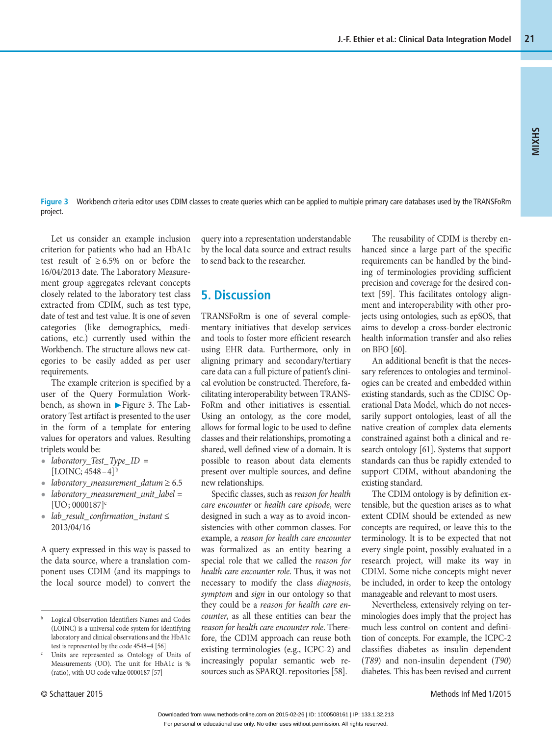**Figure 3** Workbench criteria editor uses CDIM classes to create queries which can be applied to multiple primary care databases used by the TRANSFoRm project.

Let us consider an example inclusion criterion for patients who had an HbA1c test result of  $\geq 6.5\%$  on or before the 16/04/2013 date. The Laboratory Measurement group aggregates relevant concepts closely related to the laboratory test class extracted from CDIM, such as test type, date of test and test value. It is one of seven categories (like demographics, medications, etc.) currently used within the Workbench. The structure allows new categories to be easily added as per user requirements.

The example criterion is specified by a user of the Query Formulation Workbench, as shown in ▶ Figure 3. The Laboratory Test artifact is presented to the user in the form of a template for entering values for operators and values. Resulting triplets would be:

- **•** *laboratory\_Test\_ Type\_ ID* =  $[LOINC; 4548 - 4]^{b}$
- **•** *laboratory\_measurement\_datum* ≥ 6.5
- **•** *laboratory\_measurement\_unit\_label* =  $[UD; 0000187]^{c}$
- **•** *lab\_result\_ confirmation\_ instant* ≤ 2013/04/16

A query expressed in this way is passed to the data source, where a translation component uses CDIM (and its mappings to the local source model) to convert the

c Units are represented as Ontology of Units of Measurements (UO). The unit for HbA1c is % (ratio), with UO code value 0000187 [57]

query into a representation understandable by the local data source and extract results to send back to the researcher.

## **5. Discussion**

TRANSFoRm is one of several complementary initiatives that develop services and tools to foster more efficient research using EHR data. Furthermore, only in aligning primary and secondary/tertiary care data can a full picture of patient's clinical evolution be constructed. Therefore, facilitating interoperability between TRANS-FoRm and other initiatives is essential. Using an ontology, as the core model, allows for formal logic to be used to define classes and their relationships, promoting a shared, well defined view of a domain. It is possible to reason about data elements present over multiple sources, and define new relationships.

Specific classes, such as *reason for health care encounter* or *health care episode*, were designed in such a way as to avoid inconsistencies with other common classes. For example, a *reason for health care encounter* was formalized as an entity bearing a special role that we called the *reason for health care encounter role*. Thus, it was not necessary to modify the class *diagnosis*, *symptom* and *sign* in our ontology so that they could be a *reason for health care encounter*, as all these entities can bear the *reason for health care encounter role*. Therefore, the CDIM approach can reuse both existing terminologies (e.g., ICPC-2) and increasingly popular semantic web resources such as SPARQL repositories [58].

The reusability of CDIM is thereby enhanced since a large part of the specific requirements can be handled by the binding of terminologies providing sufficient precision and coverage for the desired context [59]. This facilitates ontology alignment and interoperability with other projects using ontologies, such as epSOS, that aims to develop a cross-border electronic health information transfer and also relies on BFO [60].

An additional benefit is that the necessary references to ontologies and terminologies can be created and embedded within existing standards, such as the CDISC Operational Data Model, which do not necessarily support ontologies, least of all the native creation of complex data elements constrained against both a clinical and research ontology [61]. Systems that support standards can thus be rapidly extended to support CDIM, without abandoning the existing standard.

The CDIM ontology is by definition extensible, but the question arises as to what extent CDIM should be extended as new concepts are required, or leave this to the terminology. It is to be expected that not every single point, possibly evaluated in a research project, will make its way in CDIM. Some niche concepts might never be included, in order to keep the ontology manageable and relevant to most users.

Nevertheless, extensively relying on terminologies does imply that the project has much less control on content and definition of concepts. For example, the ICPC-2 classifies diabetes as insulin dependent (*T89*) and non-insulin dependent (*T90*) diabetes. This has been revised and current

b Logical Observation Identifiers Names and Codes (LOINC) is a universal code system for identifying laboratory and clinical observations and the HbA1c test is represented by the code 4548–4 [56]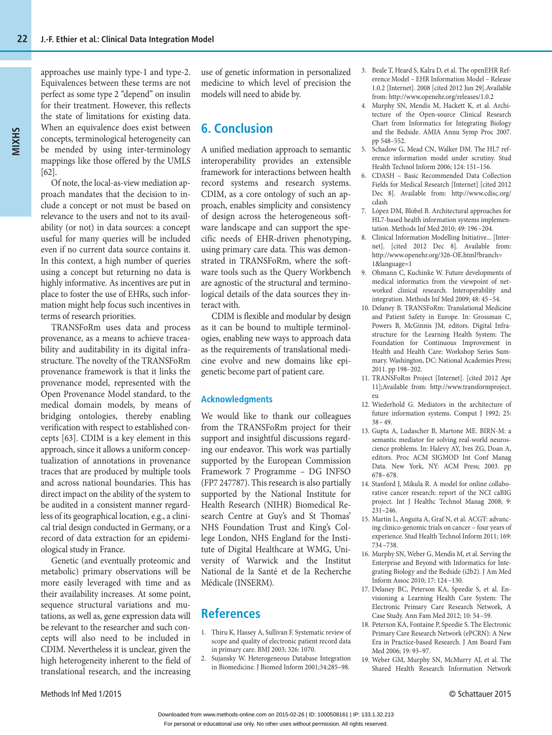approaches use mainly type-1 and type-2. Equivalences between these terms are not perfect as some type 2 "depend" on insulin for their treatment. However, this reflects the state of limitations for existing data. When an equivalence does exist between concepts, terminological heterogeneity can be mended by using inter-terminology mappings like those offered by the UMLS [62].

Of note, the local-as-view mediation approach mandates that the decision to include a concept or not must be based on relevance to the users and not to its availability (or not) in data sources: a concept useful for many queries will be included even if no current data source contains it. In this context, a high number of queries using a concept but returning no data is highly informative. As incentives are put in place to foster the use of EHRs, such information might help focus such incentives in terms of research priorities.

TRANSFoRm uses data and process provenance, as a means to achieve traceability and auditability in its digital infrastructure. The novelty of the TRANSFoRm provenance framework is that it links the provenance model, represented with the Open Provenance Model standard, to the medical domain models, by means of bridging ontologies, thereby enabling verification with respect to established concepts [63]. CDIM is a key element in this approach, since it allows a uniform conceptualization of annotations in provenance traces that are produced by multiple tools and across national boundaries. This has direct impact on the ability of the system to be audited in a consistent manner regardless of its geographical location, e.g., a clinical trial design conducted in Germany, or a record of data extraction for an epidemiological study in France.

Genetic (and eventually proteomic and metabolic) primary observations will be more easily leveraged with time and as their availability increases. At some point, sequence structural variations and mutations, as well as, gene expression data will be relevant to the researcher and such concepts will also need to be included in CDIM. Nevertheless it is unclear, given the high heterogeneity inherent to the field of translational research, and the increasing

use of genetic information in personalized medicine to which level of precision the models will need to abide by.

# **6. Conclusion**

A unified mediation approach to semantic interoperability provides an extensible framework for interactions between health record systems and research systems. CDIM, as a core ontology of such an approach, enables simplicity and consistency of design across the heterogeneous software landscape and can support the specific needs of EHR-driven phenotyping, using primary care data. This was demonstrated in TRANSFoRm, where the software tools such as the Query Workbench are agnostic of the structural and terminological details of the data sources they interact with.

CDIM is flexible and modular by design as it can be bound to multiple terminologies, enabling new ways to approach data as the requirements of translational medicine evolve and new domains like epigenetic become part of patient care.

### **Acknowledgments**

We would like to thank our colleagues from the TRANSFoRm project for their support and insightful discussions regarding our endeavor. This work was partially supported by the European Commission Framework 7 Programme – DG INFSO (FP7 247787). This research is also partially supported by the National Institute for Health Research (NIHR) Biomedical Research Centre at Guy's and St Thomas' NHS Foundation Trust and King's College London, NHS England for the Institute of Digital Healthcare at WMG, University of Warwick and the Institut National de la Santé et de la Recherche Médicale (INSERM).

# **References**

- 1. Thiru K, Hassey A, Sullivan F. Systematic review of scope and quality of electronic patient record data in primary care. BMJ 2003; 326: 1070.
- 2. Sujansky W. Heterogeneous Database Integration in Biomedicine. J Biomed Inform 2001;34:285–98.
- 3. Beale T, Heard S, Kalra D, et al. The openEHR Reference Model – EHR Information Model – Release 1.0.2 [Internet]. 2008 [cited 2012 Jun 29].Available from: http://www.openehr.org/releases/1.0.2
- 4. Murphy SN, Mendis M, Hackett K, et al. Architecture of the Open-source Clinical Research Chart from Informatics for Integrating Biology and the Bedside. AMIA Annu Symp Proc 2007. pp 548–552.
- 5. Schadow G, Mead CN, Walker DM. The HL7 reference information model under scrutiny. Stud Health Technol Inform 2006; 124: 151–156.
- 6. CDASH Basic Recommended Data Collection Fields for Medical Research [Internet] [cited 2012 Dec 8]. Available from: http://www.cdisc.org/ cdash
- 7. López DM, Blobel B. Architectural approaches for HL7-based health information systems implementation. Methods Inf Med 2010; 49: 196 –204.
- 8. Clinical Information Modelling Initiative... [Internet]. [cited 2012 Dec 8]. Available from: http://www.openehr.org/326-OE.html?branch= 1&language=1
- 9. Ohmann C, Kuchinke W. Future developments of medical informatics from the viewpoint of networked clinical research. Interoperability and integration. Methods Inf Med 2009; 48: 45 –54.
- 10. Delaney B. TRANSFoRm: Translational Medicine and Patient Safety in Europe. In: Grossman C, Powers B, McGinnis JM, editors. Digital Infrastructure for the Learning Health System: The Foundation for Continuous Improvement in Health and Health Care: Workshop Series Summary. Washington, DC: National Academies Press; 2011. pp 198–202.
- 11. TRANSFoRm Project [Internet]. [cited 2012 Apr 11];Available from: http://www.transformproject. eu
- 12. Wiederhold G. Mediators in the architecture of future information systems. Comput J 1992; 25:  $38 - 49$ .
- 13. Gupta A, Ludascher B, Martone ME. BIRN-M: a semantic mediator for solving real-world neuroscience problems. In: Halevy AY, Ives ZG, Doan A, editors. Proc ACM SIGMOD Int Conf Manag Data. New York, NY: ACM Press; 2003. pp 678– 678.
- 14. Stanford J, Mikula R. A model for online collaborative cancer research: report of the NCI caBIG project. Int J Healthc Technol Manag 2008; 9: 231–246.
- 15. Martin L, Anguita A, Graf N, et al. ACGT: advancing clinico-genomic trials on cancer – four years of experience. Stud Health Technol Inform 2011; 169: 734 –738.
- 16. Murphy SN, Weber G, Mendis M, et al. Serving the Enterprise and Beyond with Informatics for Integrating Biology and the Bedside (i2b2). J Am Med Inform Assoc 2010; 17: 124 –130.
- 17. Delaney BC, Peterson KA, Speedie S, et al. Envisioning a Learning Health Care System: The Electronic Primary Care Research Network, A Case Study. Ann Fam Med 2012; 10: 54 –59.
- 18. Peterson KA, Fontaine P, Speedie S. The Electronic Primary Care Research Network (ePCRN): A New Era in Practice-based Research. J Am Board Fam Med 2006; 19: 93–97.
- 19. Weber GM, Murphy SN, McMurry AJ, et al. The Shared Health Research Information Network